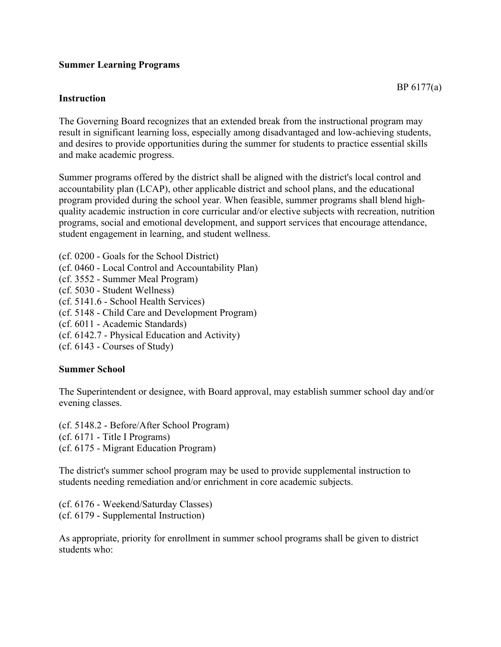## **Summer Learning Programs**

## **Instruction**

The Governing Board recognizes that an extended break from the instructional program may result in significant learning loss, especially among disadvantaged and low-achieving students, and desires to provide opportunities during the summer for students to practice essential skills and make academic progress.

Summer programs offered by the district shall be aligned with the district's local control and accountability plan (LCAP), other applicable district and school plans, and the educational program provided during the school year. When feasible, summer programs shall blend highquality academic instruction in core curricular and/or elective subjects with recreation, nutrition programs, social and emotional development, and support services that encourage attendance, student engagement in learning, and student wellness.

- (cf. 0200 Goals for the School District)
- (cf. 0460 Local Control and Accountability Plan)
- (cf. 3552 Summer Meal Program)
- (cf. 5030 Student Wellness)
- (cf. 5141.6 School Health Services)
- (cf. 5148 Child Care and Development Program)
- (cf. 6011 Academic Standards)
- (cf. 6142.7 Physical Education and Activity)
- (cf. 6143 Courses of Study)

## **Summer School**

The Superintendent or designee, with Board approval, may establish summer school day and/or evening classes.

(cf. 5148.2 - Before/After School Program) (cf. 6171 - Title I Programs) (cf. 6175 - Migrant Education Program)

The district's summer school program may be used to provide supplemental instruction to students needing remediation and/or enrichment in core academic subjects.

(cf. 6176 - Weekend/Saturday Classes) (cf. 6179 - Supplemental Instruction)

As appropriate, priority for enrollment in summer school programs shall be given to district students who: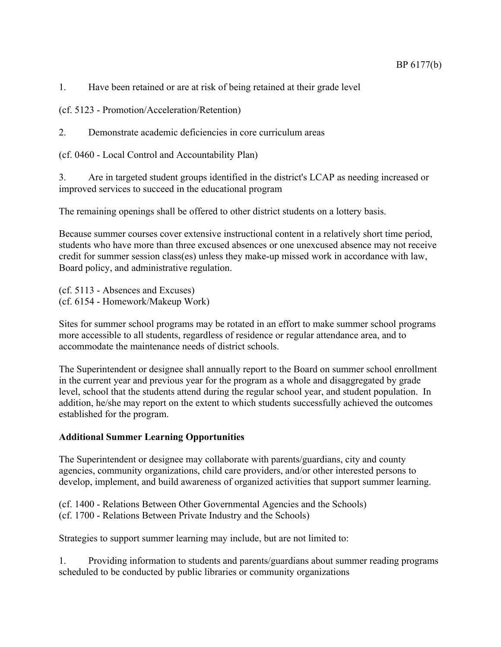1. Have been retained or are at risk of being retained at their grade level

(cf. 5123 - Promotion/Acceleration/Retention)

2. Demonstrate academic deficiencies in core curriculum areas

(cf. 0460 - Local Control and Accountability Plan)

3. Are in targeted student groups identified in the district's LCAP as needing increased or improved services to succeed in the educational program

The remaining openings shall be offered to other district students on a lottery basis.

Because summer courses cover extensive instructional content in a relatively short time period, students who have more than three excused absences or one unexcused absence may not receive credit for summer session class(es) unless they make-up missed work in accordance with law, Board policy, and administrative regulation.

(cf. 5113 - Absences and Excuses) (cf. 6154 - Homework/Makeup Work)

Sites for summer school programs may be rotated in an effort to make summer school programs more accessible to all students, regardless of residence or regular attendance area, and to accommodate the maintenance needs of district schools.

The Superintendent or designee shall annually report to the Board on summer school enrollment in the current year and previous year for the program as a whole and disaggregated by grade level, school that the students attend during the regular school year, and student population. In addition, he/she may report on the extent to which students successfully achieved the outcomes established for the program.

## **Additional Summer Learning Opportunities**

The Superintendent or designee may collaborate with parents/guardians, city and county agencies, community organizations, child care providers, and/or other interested persons to develop, implement, and build awareness of organized activities that support summer learning.

(cf. 1400 - Relations Between Other Governmental Agencies and the Schools) (cf. 1700 - Relations Between Private Industry and the Schools)

Strategies to support summer learning may include, but are not limited to:

1. Providing information to students and parents/guardians about summer reading programs scheduled to be conducted by public libraries or community organizations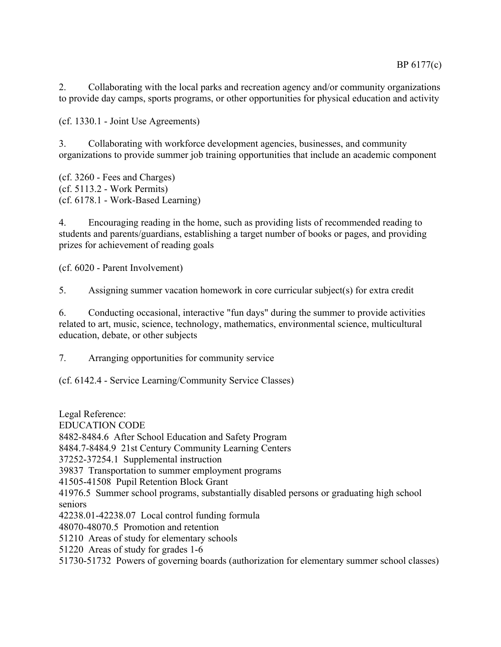2. Collaborating with the local parks and recreation agency and/or community organizations to provide day camps, sports programs, or other opportunities for physical education and activity

(cf. 1330.1 - Joint Use Agreements)

3. Collaborating with workforce development agencies, businesses, and community organizations to provide summer job training opportunities that include an academic component

(cf. 3260 - Fees and Charges) (cf. 5113.2 - Work Permits) (cf. 6178.1 - Work-Based Learning)

4. Encouraging reading in the home, such as providing lists of recommended reading to students and parents/guardians, establishing a target number of books or pages, and providing prizes for achievement of reading goals

(cf. 6020 - Parent Involvement)

5. Assigning summer vacation homework in core curricular subject(s) for extra credit

6. Conducting occasional, interactive "fun days" during the summer to provide activities related to art, music, science, technology, mathematics, environmental science, multicultural education, debate, or other subjects

7. Arranging opportunities for community service

(cf. 6142.4 - Service Learning/Community Service Classes)

Legal Reference: EDUCATION CODE 8482-8484.6 After School Education and Safety Program 8484.7-8484.9 21st Century Community Learning Centers 37252-37254.1 Supplemental instruction 39837 Transportation to summer employment programs 41505-41508 Pupil Retention Block Grant 41976.5 Summer school programs, substantially disabled persons or graduating high school seniors 42238.01-42238.07 Local control funding formula 48070-48070.5 Promotion and retention 51210 Areas of study for elementary schools 51220 Areas of study for grades 1-6 51730-51732 Powers of governing boards (authorization for elementary summer school classes)